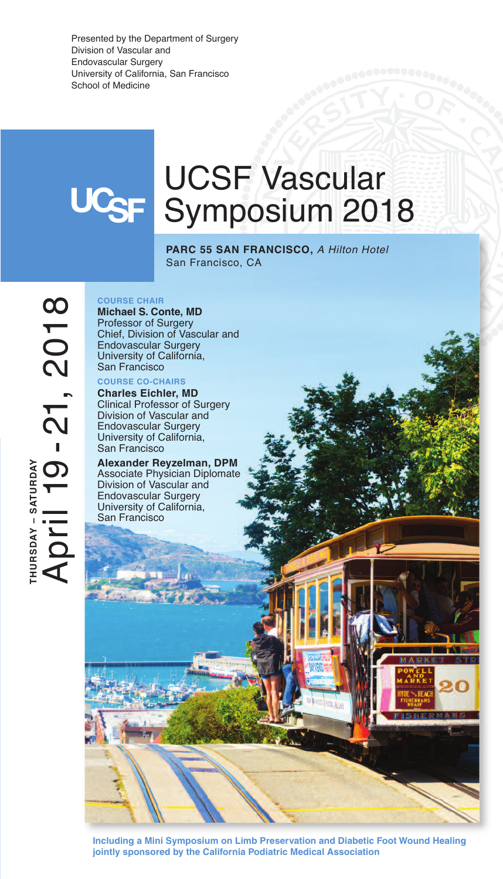Presented by the Department of Surgery Division of Vascular and Endovascular Surgery University of California, San Francisco School of Medicine

# UCSF Vascular UC<sub>SF</sub> Symposium 2018

**PARC 55 SAN FRANCISCO,** *A Hilton Hotel* San Francisco, CA

**T H U R S D A Y – S A T U R D A Y**  $\blacktriangleleft$  $\mathbf{\Omega}$ ril 1  $\mathbf O$ - **2** ا<br>1<br>T 0  $\blacksquare$ 8

**COURSE CHAIR Michael S. Conte, MD** Professor of Surgery Chief, Division of Vascular and Endovascular Surgery University of California, San Francisco **COURSE CO-CHAIRS**

**Charles Eichler, MD** Clinical Professor of Surgery Division of Vascular and Endovascular Surgery University of California, San Francisco

**Alexander Reyzelman, DPM** Associate Physician Diplomate Division of Vascular and Endovascular Surgery University of California, San Francisco

**Including a Mini Symposium on Limb Preservation and Diabetic Foot Wound Healing jointly sponsored by the California Podiatric Medical Association**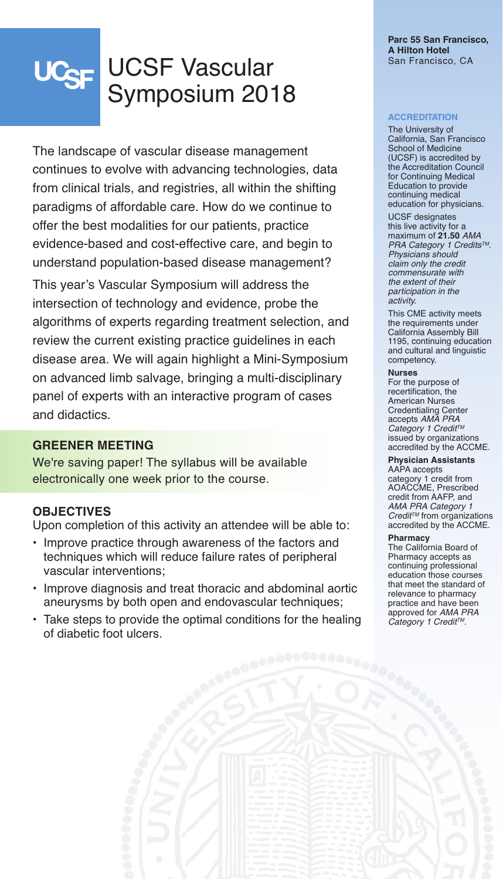# UCSF Vascular UC<sub>SF</sub> Symposium 2018

The landscape of vascular disease management continues to evolve with advancing technologies, data from clinical trials, and registries, all within the shifting paradigms of affordable care. How do we continue to offer the best modalities for our patients, practice evidence-based and cost-effective care, and begin to understand population-based disease management?

This year's Vascular Symposium will address the intersection of technology and evidence, probe the algorithms of experts regarding treatment selection, and review the current existing practice guidelines in each disease area. We will again highlight a Mini-Symposium on advanced limb salvage, bringing a multi-disciplinary panel of experts with an interactive program of cases and didactics.

### **GREENER MEETING**

We're saving paper! The syllabus will be available electronically one week prior to the course.

## **OBJECTIVES**

Upon completion of this activity an attendee will be able to:

- Improve practice through awareness of the factors and techniques which will reduce failure rates of peripheral vascular interventions;
- Improve diagnosis and treat thoracic and abdominal aortic aneurysms by both open and endovascular techniques;
- Take steps to provide the optimal conditions for the healing of diabetic foot ulcers.

#### **Parc 55 San Francisco, A Hilton Hotel** San Francisco, CA

#### **ACCREDITATION**

The University of California, San Francisco School of Medicine (UCSF) is accredited by the Accreditation Council for Continuing Medical Education to provide continuing medical education for physicians.

UCSF designates this live activity for a maximum of **21.50** *AMA PRA Category 1 CreditsTM*. *Physicians should claim only the credit commensurate with the extent of their participation in the activity.*

This CME activity meets the requirements under California Assembly Bill 1195, continuing education and cultural and linguistic competency.

#### **Nurses**

For the purpose of recertification, the American Nurses Credentialing Center accepts *AMA PRA Category 1 Credit TM* issued by organizations accredited by the ACCME.

**Physician Assistants** AAPA accepts

category 1 credit from AOACCME, Prescribed credit from AAFP, and *AMA PRA Category 1 Credit TM* from organizations accredited by the ACCME.

#### **Pharmacy**

The California Board of Pharmacy accepts as continuing professional education those courses that meet the standard of relevance to pharmacy practice and have been approved for *AMA PRA Category 1 Credit TM*.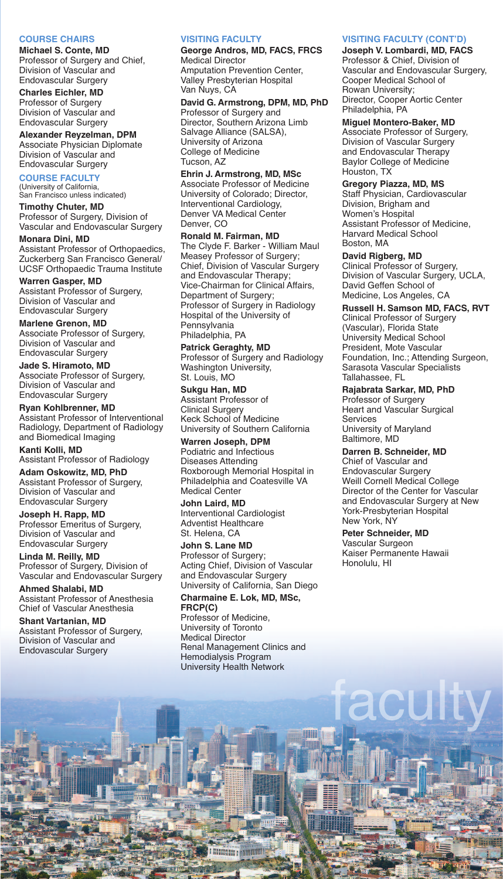#### **COURSE CHAIRS**

**Michael S. Conte, MD** Professor of Surgery and Chief, Division of Vascular and Endovascular Surgery

**Charles Eichler, MD** Professor of Surgery Division of Vascular and Endovascular Surgery

**Alexander Reyzelman, DPM** Associate Physician Diplomate Division of Vascular and Endovascular Surgery

#### **COURSE FACULTY**

(University of California, San Francisco unless indicated)

**Timothy Chuter, MD** Professor of Surgery, Division of Vascular and Endovascular Surgery

**Monara Dini, MD** Assistant Professor of Orthopaedics, Zuckerberg San Francisco General/ UCSF Orthopaedic Trauma Institute

**Warren Gasper, MD** Assistant Professor of Surgery, Division of Vascular and Endovascular Surgery

**Marlene Grenon, MD** Associate Professor of Surgery, Division of Vascular and Endovascular Surgery

**Jade S. Hiramoto, MD** Associate Professor of Surgery, Division of Vascular and Endovascular Surgery

**Ryan Kohlbrenner, MD** Assistant Professor of Interventional Radiology, Department of Radiology and Biomedical Imaging

**Kanti Kolli, MD** Assistant Professor of Radiology

**Adam Oskowitz, MD, PhD** Assistant Professor of Surgery, Division of Vascular and Endovascular Surgery

**Joseph H. Rapp, MD** Professor Emeritus of Surgery, Division of Vascular and Endovascular Surgery

**Linda M. Reilly, MD** Professor of Surgery, Division of Vascular and Endovascular Surgery

**Ahmed Shalabi, MD** Assistant Professor of Anesthesia Chief of Vascular Anesthesia

**Shant Vartanian, MD** Assistant Professor of Surgery, Division of Vascular and Endovascular Surgery

#### **VISITING FACULTY**

**George Andros, MD, FACS, FRCS** Medical Director Amputation Prevention Center, Valley Presbyterian Hospital

Van Nuys, CA

**David G. Armstrong, DPM, MD, PhD** Professor of Surgery and Director, Southern Arizona Limb Salvage Alliance (SALSA), University of Arizona College of Medicine Tucson, AZ

**Ehrin J. Armstrong, MD, MSc** Associate Professor of Medicine University of Colorado; Director, Interventional Cardiology, Denver VA Medical Center Denver, CO

**Ronald M. Fairman, MD** The Clyde F. Barker - William Maul Measey Professor of Surgery; Chief, Division of Vascular Surgery and Endovascular Therapy; Vice-Chairman for Clinical Affairs, Department of Surgery; Professor of Surgery in Radiology Hospital of the University of Pennsylvania Philadelphia, PA

**Patrick Geraghty, MD** Professor of Surgery and Radiology Washington University, St. Louis, MO

**Sukgu Han, MD** Assistant Professor of Clinical Surgery Keck School of Medicine University of Southern California

**Warren Joseph, DPM** Podiatric and Infectious Diseases Attending Roxborough Memorial Hospital in Philadelphia and Coatesville VA Medical Center

**John Laird, MD** Interventional Cardiologist Adventist Healthcare St. Helena, CA

**John S. Lane MD** Professor of Surgery; Acting Chief, Division of Vascular and Endovascular Surgery University of California, San Diego

**Charmaine E. Lok, MD, MSc, FRCP(C)** Professor of Medicine, University of Toronto Medical Director Renal Management Clinics and

Hemodialysis Program University Health Network

**WINNING THEM** 

#### **VISITING FACULTY (CONT'D) Joseph V. Lombardi, MD, FACS**

Professor & Chief, Division of Vascular and Endovascular Surgery, Cooper Medical School of Rowan University; Director, Cooper Aortic Center Philadelphia, PA

**Miguel Montero-Baker, MD** Associate Professor of Surgery, Division of Vascular Surgery and Endovascular Therapy Baylor College of Medicine Houston, TX

**Gregory Piazza, MD, MS** Staff Physician, Cardiovascular Division, Brigham and Women's Hospital Assistant Professor of Medicine, Harvard Medical School Boston, MA

#### **David Rigberg, MD**

Clinical Professor of Surgery, Division of Vascular Surgery, UCLA, David Geffen School of Medicine, Los Angeles, CA

**Russell H. Samson MD, FACS, RVT** Clinical Professor of Surgery (Vascular), Florida State University Medical School President, Mote Vascular Foundation, Inc.; Attending Surgeon, Sarasota Vascular Specialists Tallahassee, FL

**Rajabrata Sarkar, MD, PhD**

Professor of Surgery Heart and Vascular Surgical Services University of Maryland Baltimore, MD

**Darren B. Schneider, MD**

Chief of Vascular and Endovascular Surgery Weill Cornell Medical College Director of the Center for Vascular and Endovascular Surgery at New York-Presbyterian Hospital New York, NY

**Peter Schneider, MD**

ac

HH

Vascular Surgeon Kaiser Permanente Hawaii Honolulu, HI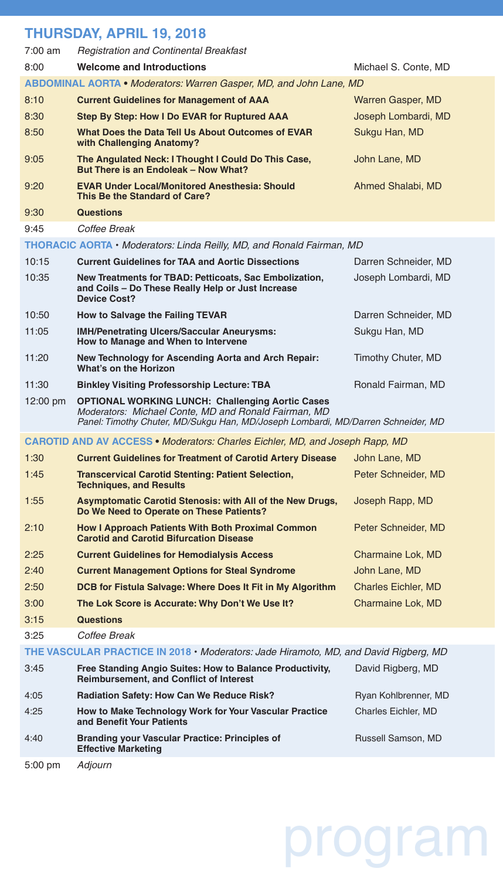## **THURSDAY, APRIL 19, 2018**

| 7:00 am  | <b>Registration and Continental Breakfast</b>                                                                                                                                                       |                      |
|----------|-----------------------------------------------------------------------------------------------------------------------------------------------------------------------------------------------------|----------------------|
| 8:00     | <b>Welcome and Introductions</b>                                                                                                                                                                    | Michael S. Conte, MD |
|          | <b>ABDOMINAL AORTA • Moderators: Warren Gasper, MD, and John Lane, MD</b>                                                                                                                           |                      |
| 8:10     | <b>Current Guidelines for Management of AAA</b>                                                                                                                                                     | Warren Gasper, MD    |
| 8:30     | Step By Step: How I Do EVAR for Ruptured AAA                                                                                                                                                        | Joseph Lombardi, MD  |
| 8:50     | What Does the Data Tell Us About Outcomes of EVAR<br>with Challenging Anatomy?                                                                                                                      | Sukgu Han, MD        |
| 9:05     | The Angulated Neck: I Thought I Could Do This Case,<br>But There is an Endoleak - Now What?                                                                                                         | John Lane, MD        |
| 9:20     | <b>EVAR Under Local/Monitored Anesthesia: Should</b><br>This Be the Standard of Care?                                                                                                               | Ahmed Shalabi, MD    |
| 9:30     | <b>Questions</b>                                                                                                                                                                                    |                      |
| 9:45     | Coffee Break                                                                                                                                                                                        |                      |
|          | THORACIC AORTA • Moderators: Linda Reilly, MD, and Ronald Fairman, MD                                                                                                                               |                      |
| 10:15    | <b>Current Guidelines for TAA and Aortic Dissections</b>                                                                                                                                            | Darren Schneider, MD |
| 10:35    | New Treatments for TBAD: Petticoats, Sac Embolization,<br>and Coils - Do These Really Help or Just Increase<br><b>Device Cost?</b>                                                                  | Joseph Lombardi, MD  |
| 10:50    | How to Salvage the Failing TEVAR                                                                                                                                                                    | Darren Schneider, MD |
| 11:05    | <b>IMH/Penetrating Ulcers/Saccular Aneurysms:</b><br>How to Manage and When to Intervene                                                                                                            | Sukgu Han, MD        |
| 11:20    | New Technology for Ascending Aorta and Arch Repair:<br>What's on the Horizon                                                                                                                        | Timothy Chuter, MD   |
| 11:30    | <b>Binkley Visiting Professorship Lecture: TBA</b>                                                                                                                                                  | Ronald Fairman, MD   |
|          |                                                                                                                                                                                                     |                      |
| 12:00 pm | <b>OPTIONAL WORKING LUNCH: Challenging Aortic Cases</b><br>Moderators: Michael Conte, MD and Ronald Fairman, MD<br>Panel: Timothy Chuter, MD/Sukgu Han, MD/Joseph Lombardi, MD/Darren Schneider, MD |                      |
|          | <b>CAROTID AND AV ACCESS • Moderators: Charles Eichler, MD, and Joseph Rapp, MD</b>                                                                                                                 |                      |
| 1:30     | <b>Current Guidelines for Treatment of Carotid Artery Disease</b>                                                                                                                                   | John Lane, MD        |
| 1:45     | <b>Transcervical Carotid Stenting: Patient Selection,</b><br><b>Techniques, and Results</b>                                                                                                         | Peter Schneider, MD  |
| 1:55     | <b>Asymptomatic Carotid Stenosis: with All of the New Drugs,</b><br>Do We Need to Operate on These Patients?                                                                                        | Joseph Rapp, MD      |
| 2:10     | <b>How I Approach Patients With Both Proximal Common</b><br><b>Carotid and Carotid Bifurcation Disease</b>                                                                                          | Peter Schneider, MD  |
| 2:25     | <b>Current Guidelines for Hemodialysis Access</b>                                                                                                                                                   | Charmaine Lok, MD    |
| 2:40     | <b>Current Management Options for Steal Syndrome</b>                                                                                                                                                | John Lane, MD        |
| 2:50     | DCB for Fistula Salvage: Where Does It Fit in My Algorithm                                                                                                                                          | Charles Eichler, MD  |
| 3:00     | The Lok Score is Accurate: Why Don't We Use It?                                                                                                                                                     | Charmaine Lok, MD    |
| 3:15     | <b>Questions</b>                                                                                                                                                                                    |                      |
| 3:25     | Coffee Break                                                                                                                                                                                        |                      |
|          | THE VASCULAR PRACTICE IN 2018 • Moderators: Jade Hiramoto, MD, and David Rigberg, MD                                                                                                                |                      |
| 3:45     | Free Standing Angio Suites: How to Balance Productivity,<br><b>Reimbursement, and Conflict of Interest</b>                                                                                          | David Rigberg, MD    |
| 4:05     | Radiation Safety: How Can We Reduce Risk?                                                                                                                                                           | Ryan Kohlbrenner, MD |
| 4:25     | How to Make Technology Work for Your Vascular Practice<br>and Benefit Your Patients                                                                                                                 | Charles Eichler, MD  |
| 4:40     | <b>Branding your Vascular Practice: Principles of</b><br><b>Effective Marketing</b>                                                                                                                 | Russell Samson, MD   |

# program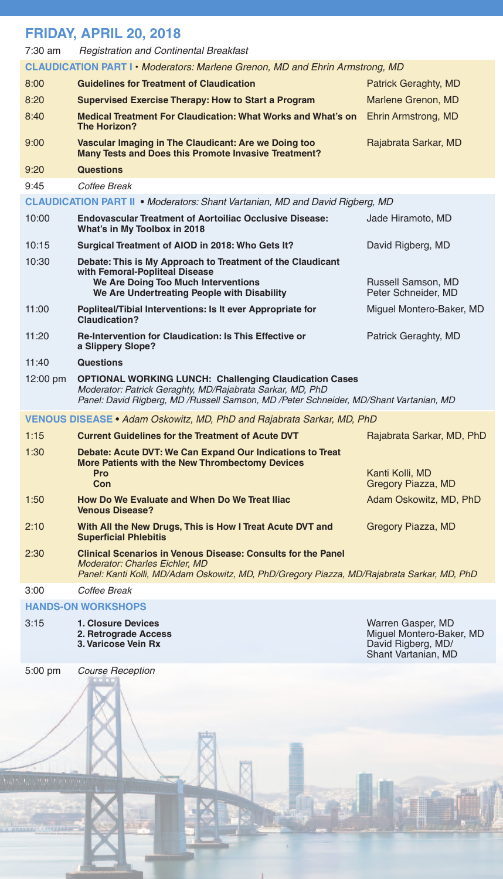# **FRIDAY, APRIL 20, 2018**<br>7:30 am **Registration and Continent**

7:30 am *Registration and Continental Breakfast*

|          | <u>Hogistialion and Obininghiai Dicamast</u>                                                                                                                                                                          |                                               |
|----------|-----------------------------------------------------------------------------------------------------------------------------------------------------------------------------------------------------------------------|-----------------------------------------------|
|          | <b>CLAUDICATION PART I • Moderators: Marlene Grenon, MD and Ehrin Armstrong, MD</b>                                                                                                                                   |                                               |
| 8:00     | <b>Guidelines for Treatment of Claudication</b>                                                                                                                                                                       | Patrick Geraghty, MD                          |
| 8:20     | <b>Supervised Exercise Therapy: How to Start a Program</b>                                                                                                                                                            | Marlene Grenon, MD                            |
| 8:40     | <b>Medical Treatment For Claudication: What Works and What's on</b><br>The Horizon?                                                                                                                                   | Ehrin Armstrong, MD                           |
| 9:00     | Vascular Imaging in The Claudicant: Are we Doing too<br>Many Tests and Does this Promote Invasive Treatment?                                                                                                          | Rajabrata Sarkar, MD                          |
| 9:20     | <b>Questions</b>                                                                                                                                                                                                      |                                               |
| 9:45     | Coffee Break                                                                                                                                                                                                          |                                               |
|          | <b>CLAUDICATION PART II • Moderators: Shant Vartanian, MD and David Rigberg, MD</b>                                                                                                                                   |                                               |
| 10:00    | <b>Endovascular Treatment of Aortoiliac Occlusive Disease:</b><br>What's in My Toolbox in 2018                                                                                                                        | Jade Hiramoto, MD                             |
| 10:15    | Surgical Treatment of AIOD in 2018: Who Gets It?                                                                                                                                                                      | David Rigberg, MD                             |
| 10:30    | Debate: This is My Approach to Treatment of the Claudicant                                                                                                                                                            |                                               |
|          | with Femoral-Popliteal Disease<br>We Are Doing Too Much Interventions<br>We Are Undertreating People with Disability                                                                                                  | Russell Samson, MD<br>Peter Schneider, MD     |
| 11:00    | Popliteal/Tibial Interventions: Is It ever Appropriate for<br>Claudication?                                                                                                                                           | Miguel Montero-Baker, MD                      |
| 11:20    | <b>Re-Intervention for Claudication: Is This Effective or</b><br>a Slippery Slope?                                                                                                                                    | Patrick Geraghty, MD                          |
| 11:40    | <b>Questions</b>                                                                                                                                                                                                      |                                               |
| 12:00 pm | <b>OPTIONAL WORKING LUNCH: Challenging Claudication Cases</b><br>Moderator: Patrick Geraghty, MD/Rajabrata Sarkar, MD, PhD<br>Panel: David Rigberg, MD / Russell Samson, MD / Peter Schneider, MD/Shant Vartanian, MD |                                               |
|          | <b>VENOUS DISEASE • Adam Oskowitz, MD, PhD and Rajabrata Sarkar, MD, PhD</b>                                                                                                                                          |                                               |
| 1:15     | <b>Current Guidelines for the Treatment of Acute DVT</b>                                                                                                                                                              | Rajabrata Sarkar, MD, PhD                     |
| 1:30     | Debate: Acute DVT: We Can Expand Our Indications to Treat<br>More Patients with the New Thrombectomy Devices                                                                                                          |                                               |
|          | Pro<br>Con                                                                                                                                                                                                            | Kanti Kolli, MD<br>Gregory Piazza, MD         |
| 1:50     | How Do We Evaluate and When Do We Treat Iliac<br><b>Venous Disease?</b>                                                                                                                                               | Adam Oskowitz, MD, PhD                        |
| 2:10     | With All the New Drugs, This is How I Treat Acute DVT and<br><b>Superficial Phlebitis</b>                                                                                                                             | Gregory Piazza, MD                            |
| 2:30     | <b>Clinical Scenarios in Venous Disease: Consults for the Panel</b><br><b>Moderator: Charles Eichler, MD</b><br>Panel: Kanti Kolli, MD/Adam Oskowitz, MD, PhD/Gregory Piazza, MD/Rajabrata Sarkar, MD, PhD            |                                               |
| 3:00     | Coffee Break                                                                                                                                                                                                          |                                               |
|          | <b>HANDS-ON WORKSHOPS</b>                                                                                                                                                                                             |                                               |
| 3:15     | <b>1. Closure Devices</b><br>2. Retrograde Access                                                                                                                                                                     | Warren Gasper, MD<br>Miguel Montero-Baker, MD |

i.

**3. Varicose Vein Rx** David Rigberg, MD/

5:00 pm *Course Reception*

Shant Vartanian, MD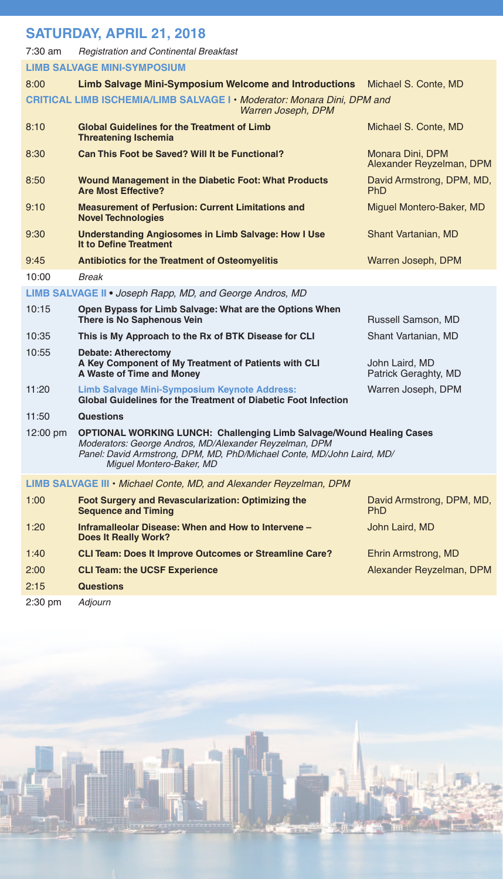# **SATURDAY, APRIL 21, 2018**

| 7:30 am  | <b>Registration and Continental Breakfast</b>                                                                                                                                                                                               |                                              |
|----------|---------------------------------------------------------------------------------------------------------------------------------------------------------------------------------------------------------------------------------------------|----------------------------------------------|
|          | <b>LIMB SALVAGE MINI-SYMPOSIUM</b>                                                                                                                                                                                                          |                                              |
| 8:00     | <b>Limb Salvage Mini-Symposium Welcome and Introductions</b>                                                                                                                                                                                | Michael S. Conte, MD                         |
|          | CRITICAL LIMB ISCHEMIA/LIMB SALVAGE I · Moderator: Monara Dini, DPM and<br>Warren Joseph, DPM                                                                                                                                               |                                              |
| 8:10     | <b>Global Guidelines for the Treatment of Limb</b><br><b>Threatening Ischemia</b>                                                                                                                                                           | Michael S. Conte, MD                         |
| 8:30     | Can This Foot be Saved? Will It be Functional?                                                                                                                                                                                              | Monara Dini, DPM<br>Alexander Reyzelman, DPM |
| 8:50     | <b>Wound Management in the Diabetic Foot: What Products</b><br><b>Are Most Effective?</b>                                                                                                                                                   | David Armstrong, DPM, MD,<br><b>PhD</b>      |
| 9:10     | <b>Measurement of Perfusion: Current Limitations and</b><br><b>Novel Technologies</b>                                                                                                                                                       | Miguel Montero-Baker, MD                     |
| 9:30     | <b>Understanding Angiosomes in Limb Salvage: How I Use</b><br>It to Define Treatment                                                                                                                                                        | Shant Vartanian, MD                          |
| 9:45     | <b>Antibiotics for the Treatment of Osteomyelitis</b>                                                                                                                                                                                       | Warren Joseph, DPM                           |
| 10:00    | <b>Break</b>                                                                                                                                                                                                                                |                                              |
|          | LIMB SALVAGE II . Joseph Rapp, MD, and George Andros, MD                                                                                                                                                                                    |                                              |
| 10:15    | Open Bypass for Limb Salvage: What are the Options When<br>There is No Saphenous Vein                                                                                                                                                       | Russell Samson, MD                           |
| 10:35    | This is My Approach to the Rx of BTK Disease for CLI                                                                                                                                                                                        | Shant Vartanian. MD                          |
| 10:55    | <b>Debate: Atherectomy</b><br>A Key Component of My Treatment of Patients with CLI<br>A Waste of Time and Money                                                                                                                             | John Laird, MD<br>Patrick Geraghty, MD       |
| 11:20    | <b>Limb Salvage Mini-Symposium Keynote Address:</b><br>Global Guidelines for the Treatment of Diabetic Foot Infection                                                                                                                       | Warren Joseph, DPM                           |
| 11:50    | <b>Questions</b>                                                                                                                                                                                                                            |                                              |
| 12:00 pm | <b>OPTIONAL WORKING LUNCH: Challenging Limb Salvage/Wound Healing Cases</b><br>Moderators: George Andros, MD/Alexander Reyzelman, DPM<br>Panel: David Armstrong, DPM, MD, PhD/Michael Conte, MD/John Laird, MD/<br>Miguel Montero-Baker, MD |                                              |
|          | <b>LIMB SALVAGE III • Michael Conte, MD, and Alexander Reyzelman, DPM</b>                                                                                                                                                                   |                                              |
| 1:00     | Foot Surgery and Revascularization: Optimizing the<br><b>Sequence and Timing</b>                                                                                                                                                            | David Armstrong, DPM, MD,<br>PhD.            |
| 1:20     | Inframalleolar Disease: When and How to Intervene -<br><b>Does It Really Work?</b>                                                                                                                                                          | John Laird, MD                               |
| 1:40     | <b>CLI Team: Does It Improve Outcomes or Streamline Care?</b>                                                                                                                                                                               | Ehrin Armstrong, MD                          |
| 2:00     | <b>CLI Team: the UCSF Experience</b>                                                                                                                                                                                                        | Alexander Reyzelman, DPM                     |
| 2:15     | <b>Questions</b>                                                                                                                                                                                                                            |                                              |

2:30 pm *Adjourn*

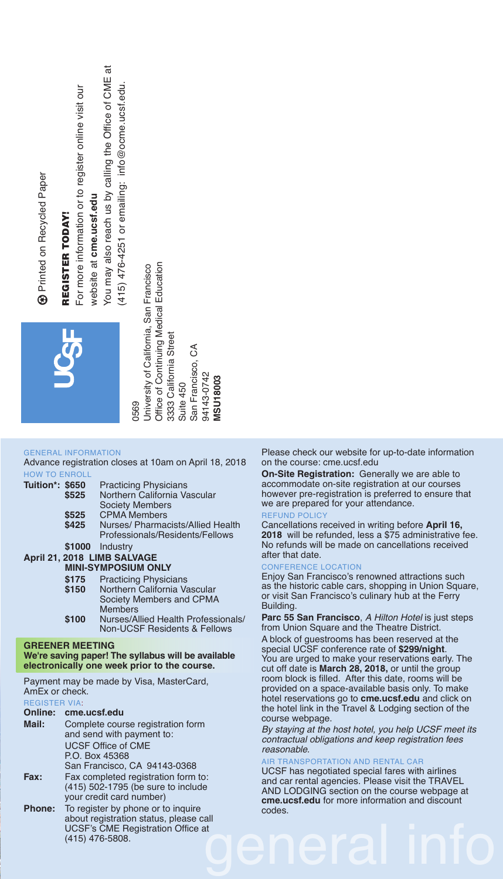| For more information or to register online visit our<br><b>B</b> Printed on Recycled Paper<br>REGISTER TODAY                          | ಸ<br>You may also reach us by calling the Office of CME<br>$(415)$ 476-4251 or emailing: info@ocme.ucsf.edu<br>website at cme.ucsf.edu<br>Office of Continuing Medical Education<br>Jniversity of California, San Francisco<br>3333 California Street<br>San Francisco, CA<br>94143-0742<br><b>VISU18003</b><br>Suite 450<br>0569                                                                                                                                                                            |                                                                                                                                                                                                                                                                                                                                                                                                                                                                                                                                                                                                                                                                                                                                                                                                                                  |
|---------------------------------------------------------------------------------------------------------------------------------------|--------------------------------------------------------------------------------------------------------------------------------------------------------------------------------------------------------------------------------------------------------------------------------------------------------------------------------------------------------------------------------------------------------------------------------------------------------------------------------------------------------------|----------------------------------------------------------------------------------------------------------------------------------------------------------------------------------------------------------------------------------------------------------------------------------------------------------------------------------------------------------------------------------------------------------------------------------------------------------------------------------------------------------------------------------------------------------------------------------------------------------------------------------------------------------------------------------------------------------------------------------------------------------------------------------------------------------------------------------|
| <b>GENERAL INFORMATION</b><br><b>HOW TO ENROLL</b><br>Tuition*: \$650<br>\$525<br>\$525<br>\$425<br>\$1000<br>\$175<br>\$150<br>\$100 | Advance registration closes at 10am on April 18, 2018<br><b>Practicing Physicians</b><br>Northern California Vascular<br><b>Society Members</b><br><b>CPMA Members</b><br>Nurses/ Pharmacists/Allied Health<br>Professionals/Residents/Fellows<br>Industry<br>April 21, 2018 LIMB SALVAGE<br><b>MINI-SYMPOSIUM ONLY</b><br><b>Practicing Physicians</b><br>Northern California Vascular<br>Society Members and CPMA<br><b>Members</b><br>Nurses/Allied Health Professionals/<br>Non-UCSF Residents & Fellows | Please check our website for up-to-date information<br>on the course: cme.ucsf.edu<br><b>On-Site Registration:</b> Generally we are able to<br>accommodate on-site registration at our courses<br>however pre-registration is preferred to ensure that<br>we are prepared for your attendance.<br><b>REFUND POLICY</b><br>Cancellations received in writing before April 16,<br>2018 will be refunded, less a \$75 administrative fee<br>No refunds will be made on cancellations received<br>after that date.<br><b>CONFERENCE LOCATION</b><br>Enjoy San Francisco's renowned attractions such<br>as the historic cable cars, shopping in Union Square<br>or visit San Francisco's culinary hub at the Ferry<br>Building.<br>Parc 55 San Francisco, A Hilton Hotel is just steps<br>from Union Square and the Theatre District. |
| <b>GREENER MEETING</b>                                                                                                                | We're saving paper! The syllabus will be available                                                                                                                                                                                                                                                                                                                                                                                                                                                           | A block of guestrooms has been reserved at the<br>special UCSF conference rate of \$299/night.                                                                                                                                                                                                                                                                                                                                                                                                                                                                                                                                                                                                                                                                                                                                   |
|                                                                                                                                       | electronically one week prior to the course.                                                                                                                                                                                                                                                                                                                                                                                                                                                                 | You are urged to make your reservations early. The<br>cut off date is March 28, 2018, or until the group<br>room block is filled. After this date, rooms will be                                                                                                                                                                                                                                                                                                                                                                                                                                                                                                                                                                                                                                                                 |
| AmEx or check.<br><b>REGISTER VIA:</b>                                                                                                | Payment may be made by Visa, MasterCard,                                                                                                                                                                                                                                                                                                                                                                                                                                                                     | provided on a space-available basis only. To make<br>hotel reservations go to cme.ucsf.edu and click on                                                                                                                                                                                                                                                                                                                                                                                                                                                                                                                                                                                                                                                                                                                          |
| Online: cme.ucsf.edu                                                                                                                  |                                                                                                                                                                                                                                                                                                                                                                                                                                                                                                              | the hotel link in the Travel & Lodging section of the<br>course webpage.                                                                                                                                                                                                                                                                                                                                                                                                                                                                                                                                                                                                                                                                                                                                                         |
| Mail:                                                                                                                                 | Complete course registration form<br>and send with payment to:<br><b>UCSF Office of CME</b>                                                                                                                                                                                                                                                                                                                                                                                                                  | By staying at the host hotel, you help UCSF meet its<br>contractual obligations and keep registration fees                                                                                                                                                                                                                                                                                                                                                                                                                                                                                                                                                                                                                                                                                                                       |
|                                                                                                                                       | P.O. Box 45368                                                                                                                                                                                                                                                                                                                                                                                                                                                                                               | reasonable.<br>AIR TRANSPORTATION AND RENTAL CAR                                                                                                                                                                                                                                                                                                                                                                                                                                                                                                                                                                                                                                                                                                                                                                                 |

N AND RENTAL CAR UCSF has negotiated special fares with airlines and car rental agencies. Please visit the TRAVEL AND LODGING section on the course webpage at **cme.ucsf.edu** for more information and discount codes.

# general info about registration status, please call UCSF's CME Registration Office at (415) 476-5808.

#### **TION**

| Mail:  | Complete course registration form<br>and send with payment to:            |
|--------|---------------------------------------------------------------------------|
|        | <b>UCSF Office of CME</b>                                                 |
|        | P.O. Box 45368                                                            |
|        | San Francisco, CA 94143-0368                                              |
| Fax:   | Fax completed registration form to:<br>(415) 502-1795 (be sure to include |
|        | your credit card number)                                                  |
| Phone: | To register by phone or to inquire                                        |
|        | about registration status, please call                                    |
|        | <b>UCSF's CME Registration Office at</b>                                  |